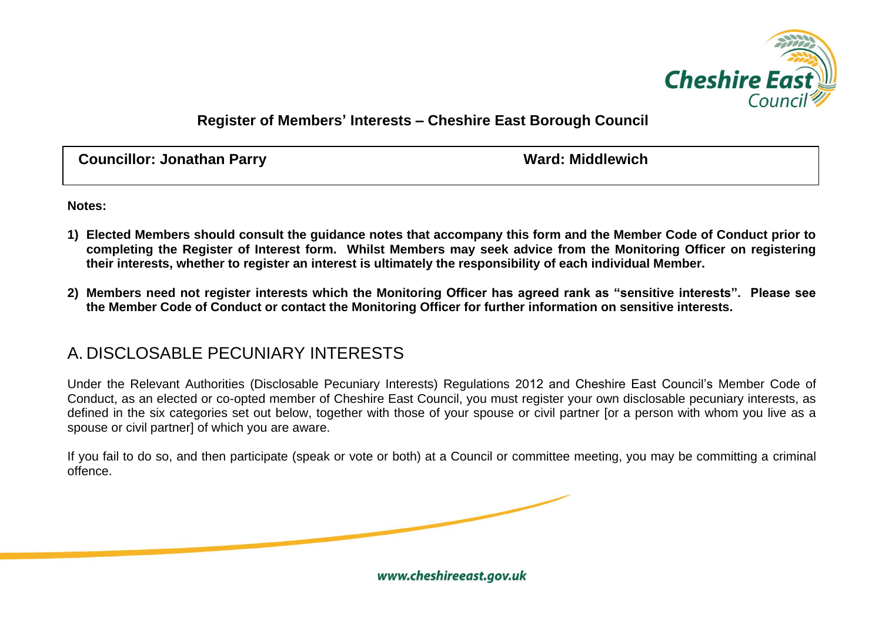

## **Register of Members' Interests – Cheshire East Borough Council**

**Councillor: Jonathan Parry WALLS AND MELTA COUNCILLY AND MATHEM** 

**Notes:**

- **1) Elected Members should consult the guidance notes that accompany this form and the Member Code of Conduct prior to completing the Register of Interest form. Whilst Members may seek advice from the Monitoring Officer on registering their interests, whether to register an interest is ultimately the responsibility of each individual Member.**
- **2) Members need not register interests which the Monitoring Officer has agreed rank as "sensitive interests". Please see the Member Code of Conduct or contact the Monitoring Officer for further information on sensitive interests.**

## A. DISCLOSABLE PECUNIARY INTERESTS

Under the Relevant Authorities (Disclosable Pecuniary Interests) Regulations 2012 and Cheshire East Council's Member Code of Conduct, as an elected or co-opted member of Cheshire East Council, you must register your own disclosable pecuniary interests, as defined in the six categories set out below, together with those of your spouse or civil partner for a person with whom you live as a spouse or civil partner] of which you are aware.

If you fail to do so, and then participate (speak or vote or both) at a Council or committee meeting, you may be committing a criminal offence.

www.cheshireeast.gov.uk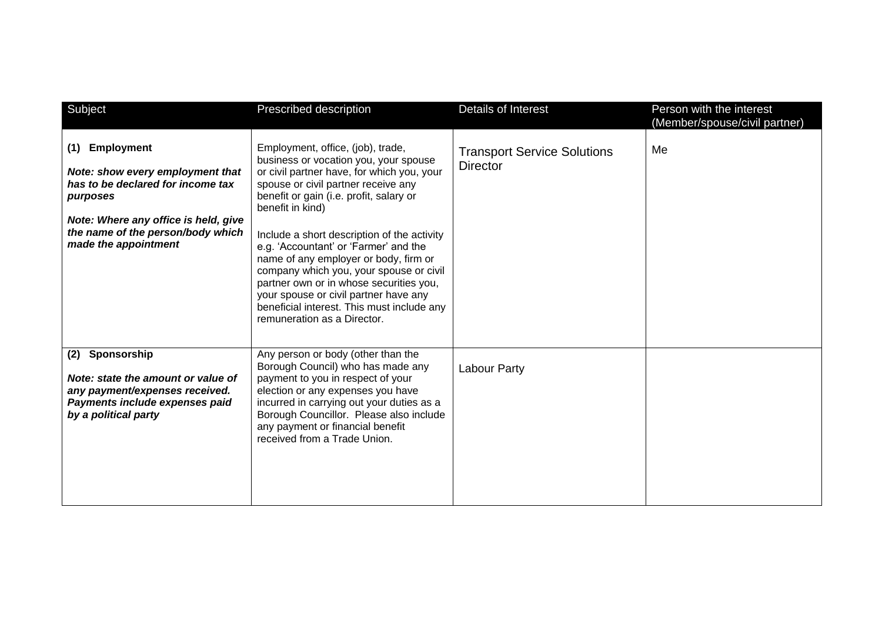| Subject                                                                                                                                                                                                            | Prescribed description                                                                                                                                                                                                                                                                                                                                                                                                                                                                                                                                                      | Details of Interest                                   | Person with the interest<br>(Member/spouse/civil partner) |
|--------------------------------------------------------------------------------------------------------------------------------------------------------------------------------------------------------------------|-----------------------------------------------------------------------------------------------------------------------------------------------------------------------------------------------------------------------------------------------------------------------------------------------------------------------------------------------------------------------------------------------------------------------------------------------------------------------------------------------------------------------------------------------------------------------------|-------------------------------------------------------|-----------------------------------------------------------|
| <b>Employment</b><br>(1)<br>Note: show every employment that<br>has to be declared for income tax<br>purposes<br>Note: Where any office is held, give<br>the name of the person/body which<br>made the appointment | Employment, office, (job), trade,<br>business or vocation you, your spouse<br>or civil partner have, for which you, your<br>spouse or civil partner receive any<br>benefit or gain (i.e. profit, salary or<br>benefit in kind)<br>Include a short description of the activity<br>e.g. 'Accountant' or 'Farmer' and the<br>name of any employer or body, firm or<br>company which you, your spouse or civil<br>partner own or in whose securities you,<br>your spouse or civil partner have any<br>beneficial interest. This must include any<br>remuneration as a Director. | <b>Transport Service Solutions</b><br><b>Director</b> | Me                                                        |
| Sponsorship<br>(2)<br>Note: state the amount or value of<br>any payment/expenses received.<br>Payments include expenses paid<br>by a political party                                                               | Any person or body (other than the<br>Borough Council) who has made any<br>payment to you in respect of your<br>election or any expenses you have<br>incurred in carrying out your duties as a<br>Borough Councillor. Please also include<br>any payment or financial benefit<br>received from a Trade Union.                                                                                                                                                                                                                                                               | Labour Party                                          |                                                           |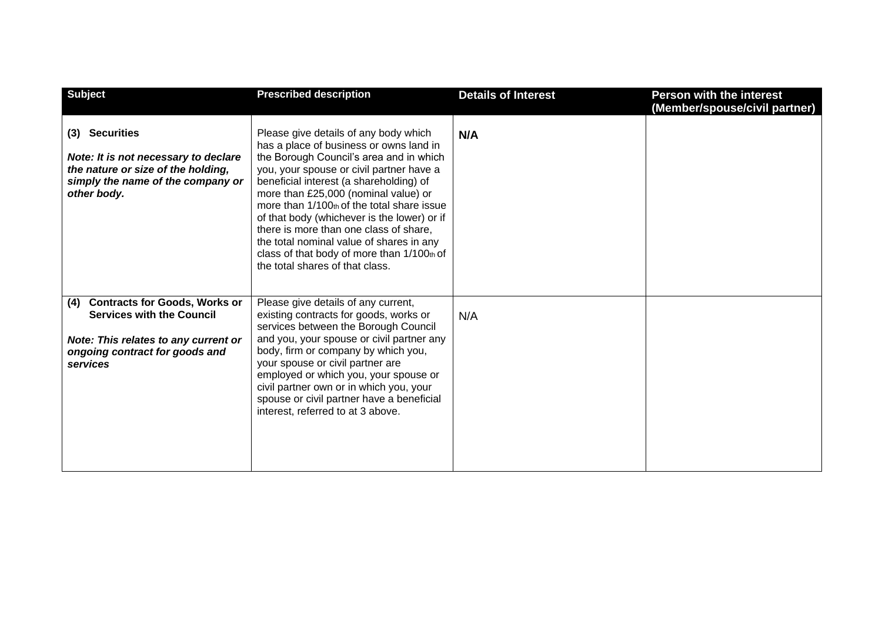| <b>Subject</b>                                                                                                                                                        | <b>Prescribed description</b>                                                                                                                                                                                                                                                                                                                                                                                                                                                                                                  | <b>Details of Interest</b> | <b>Person with the interest</b><br>(Member/spouse/civil partner) |
|-----------------------------------------------------------------------------------------------------------------------------------------------------------------------|--------------------------------------------------------------------------------------------------------------------------------------------------------------------------------------------------------------------------------------------------------------------------------------------------------------------------------------------------------------------------------------------------------------------------------------------------------------------------------------------------------------------------------|----------------------------|------------------------------------------------------------------|
| (3) Securities<br>Note: It is not necessary to declare<br>the nature or size of the holding,<br>simply the name of the company or<br>other body.                      | Please give details of any body which<br>has a place of business or owns land in<br>the Borough Council's area and in which<br>you, your spouse or civil partner have a<br>beneficial interest (a shareholding) of<br>more than £25,000 (nominal value) or<br>more than 1/100th of the total share issue<br>of that body (whichever is the lower) or if<br>there is more than one class of share.<br>the total nominal value of shares in any<br>class of that body of more than 1/100th of<br>the total shares of that class. | N/A                        |                                                                  |
| <b>Contracts for Goods, Works or</b><br>(4)<br><b>Services with the Council</b><br>Note: This relates to any current or<br>ongoing contract for goods and<br>services | Please give details of any current,<br>existing contracts for goods, works or<br>services between the Borough Council<br>and you, your spouse or civil partner any<br>body, firm or company by which you,<br>your spouse or civil partner are<br>employed or which you, your spouse or<br>civil partner own or in which you, your<br>spouse or civil partner have a beneficial<br>interest, referred to at 3 above.                                                                                                            | N/A                        |                                                                  |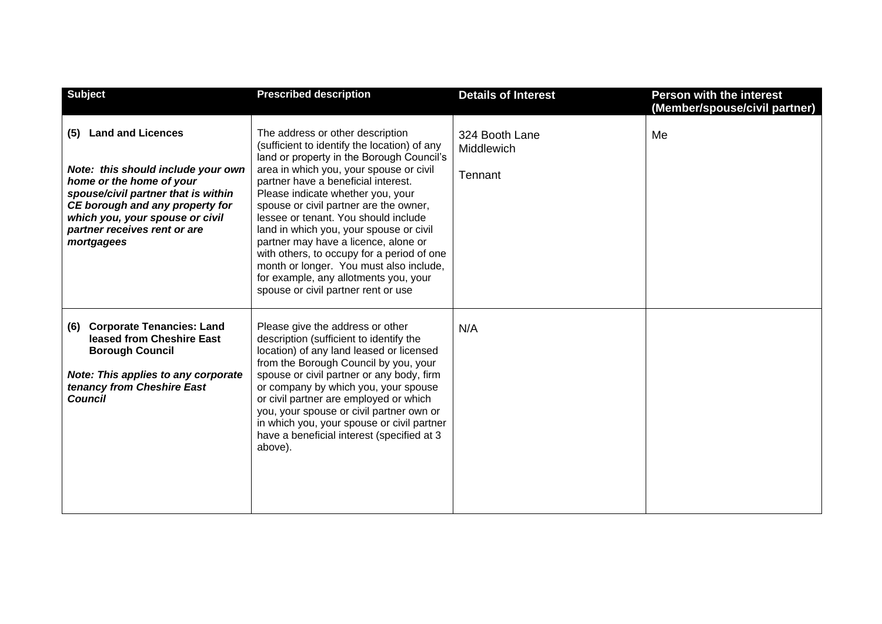| <b>Subject</b>                                                                                                                                                                                                                                               | <b>Prescribed description</b>                                                                                                                                                                                                                                                                                                                                                                                                                                                                                                                                                                      | <b>Details of Interest</b>                     | <b>Person with the interest</b><br>(Member/spouse/civil partner) |
|--------------------------------------------------------------------------------------------------------------------------------------------------------------------------------------------------------------------------------------------------------------|----------------------------------------------------------------------------------------------------------------------------------------------------------------------------------------------------------------------------------------------------------------------------------------------------------------------------------------------------------------------------------------------------------------------------------------------------------------------------------------------------------------------------------------------------------------------------------------------------|------------------------------------------------|------------------------------------------------------------------|
| <b>Land and Licences</b><br>(5)<br>Note: this should include your own<br>home or the home of your<br>spouse/civil partner that is within<br>CE borough and any property for<br>which you, your spouse or civil<br>partner receives rent or are<br>mortgagees | The address or other description<br>(sufficient to identify the location) of any<br>land or property in the Borough Council's<br>area in which you, your spouse or civil<br>partner have a beneficial interest.<br>Please indicate whether you, your<br>spouse or civil partner are the owner,<br>lessee or tenant. You should include<br>land in which you, your spouse or civil<br>partner may have a licence, alone or<br>with others, to occupy for a period of one<br>month or longer. You must also include,<br>for example, any allotments you, your<br>spouse or civil partner rent or use | 324 Booth Lane<br><b>Middlewich</b><br>Tennant | Me                                                               |
| <b>Corporate Tenancies: Land</b><br>(6)<br>leased from Cheshire East<br><b>Borough Council</b><br><b>Note: This applies to any corporate</b><br>tenancy from Cheshire East<br><b>Council</b>                                                                 | Please give the address or other<br>description (sufficient to identify the<br>location) of any land leased or licensed<br>from the Borough Council by you, your<br>spouse or civil partner or any body, firm<br>or company by which you, your spouse<br>or civil partner are employed or which<br>you, your spouse or civil partner own or<br>in which you, your spouse or civil partner<br>have a beneficial interest (specified at 3<br>above).                                                                                                                                                 | N/A                                            |                                                                  |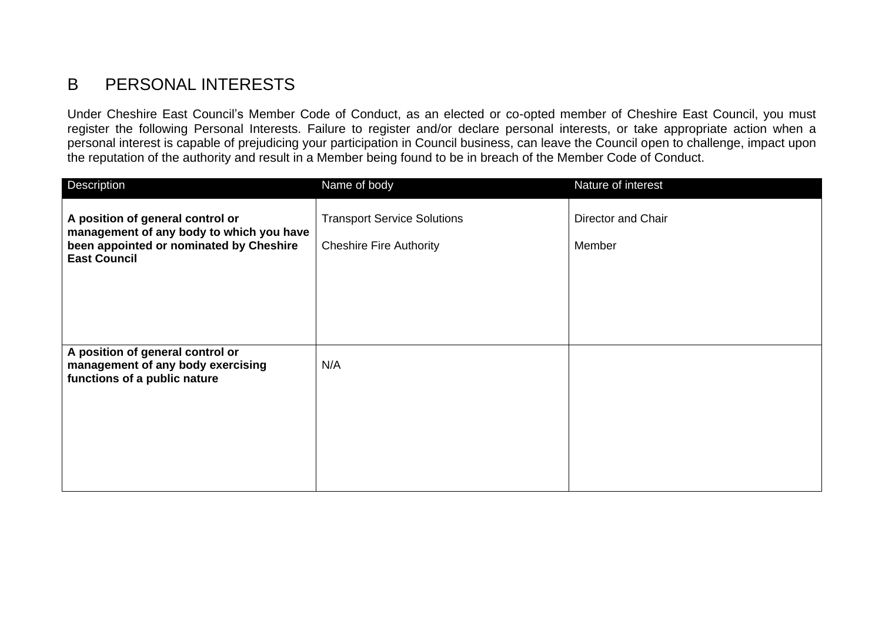## B PERSONAL INTERESTS

Under Cheshire East Council's Member Code of Conduct, as an elected or co-opted member of Cheshire East Council, you must register the following Personal Interests. Failure to register and/or declare personal interests, or take appropriate action when a personal interest is capable of prejudicing your participation in Council business, can leave the Council open to challenge, impact upon the reputation of the authority and result in a Member being found to be in breach of the Member Code of Conduct.

| Description                                                                                                                                    | Name of body                                                         | Nature of interest           |
|------------------------------------------------------------------------------------------------------------------------------------------------|----------------------------------------------------------------------|------------------------------|
| A position of general control or<br>management of any body to which you have<br>been appointed or nominated by Cheshire<br><b>East Council</b> | <b>Transport Service Solutions</b><br><b>Cheshire Fire Authority</b> | Director and Chair<br>Member |
| A position of general control or<br>management of any body exercising<br>functions of a public nature                                          | N/A                                                                  |                              |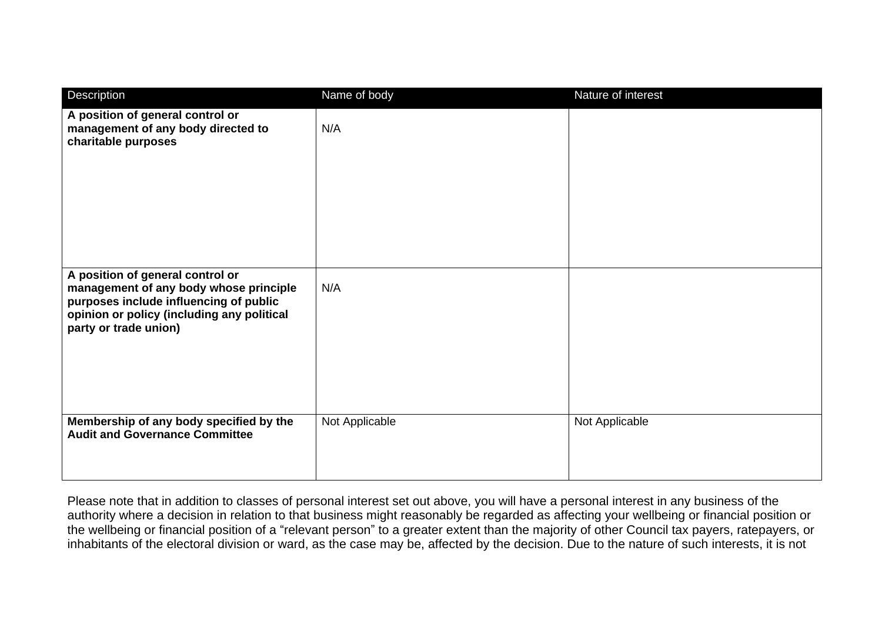| Description                                                                                                                                                                                 | Name of body   | Nature of interest |
|---------------------------------------------------------------------------------------------------------------------------------------------------------------------------------------------|----------------|--------------------|
| A position of general control or<br>management of any body directed to<br>charitable purposes                                                                                               | N/A            |                    |
| A position of general control or<br>management of any body whose principle<br>purposes include influencing of public<br>opinion or policy (including any political<br>party or trade union) | N/A            |                    |
| Membership of any body specified by the<br><b>Audit and Governance Committee</b>                                                                                                            | Not Applicable | Not Applicable     |

Please note that in addition to classes of personal interest set out above, you will have a personal interest in any business of the authority where a decision in relation to that business might reasonably be regarded as affecting your wellbeing or financial position or the wellbeing or financial position of a "relevant person" to a greater extent than the majority of other Council tax payers, ratepayers, or inhabitants of the electoral division or ward, as the case may be, affected by the decision. Due to the nature of such interests, it is not